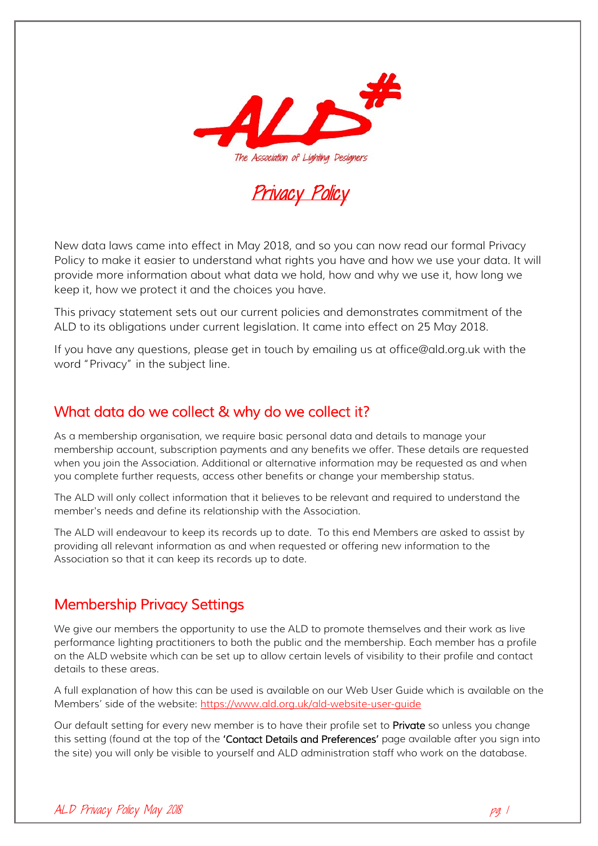

# Privacy Policy

New data laws came into effect in May 2018, and so you can now read our formal Privacy Policy to make it easier to understand what rights you have and how we use your data. It will provide more information about what data we hold, how and why we use it, how long we keep it, how we protect it and the choices you have.

This privacy statement sets out our current policies and demonstrates commitment of the ALD to its obligations under current legislation. It came into effect on 25 May 2018.

If you have any questions, please get in touch by emailing us at office@ald.org.uk with the word "Privacy" in the subject line.

### What data do we collect & why do we collect it?

As a membership organisation, we require basic personal data and details to manage your membership account, subscription payments and any benefits we offer. These details are requested when you join the Association. Additional or alternative information may be requested as and when you complete further requests, access other benefits or change your membership status.

The ALD will only collect information that it believes to be relevant and required to understand the member's needs and define its relationship with the Association.

The ALD will endeavour to keep its records up to date. To this end Members are asked to assist by providing all relevant information as and when requested or offering new information to the Association so that it can keep its records up to date.

### Membership Privacy Settings

We give our members the opportunity to use the ALD to promote themselves and their work as live performance lighting practitioners to both the public and the membership. Each member has a profile on the ALD website which can be set up to allow certain levels of visibility to their profile and contact details to these areas.

A full explanation of how this can be used is available on our Web User Guide which is available on the Members' side of the website:<https://www.ald.org.uk/ald-website-user-guide>

Our default setting for every new member is to have their profile set to Private so unless you change this setting (found at the top of the 'Contact Details and Preferences' page available after you sign into the site) you will only be visible to yourself and ALD administration staff who work on the database.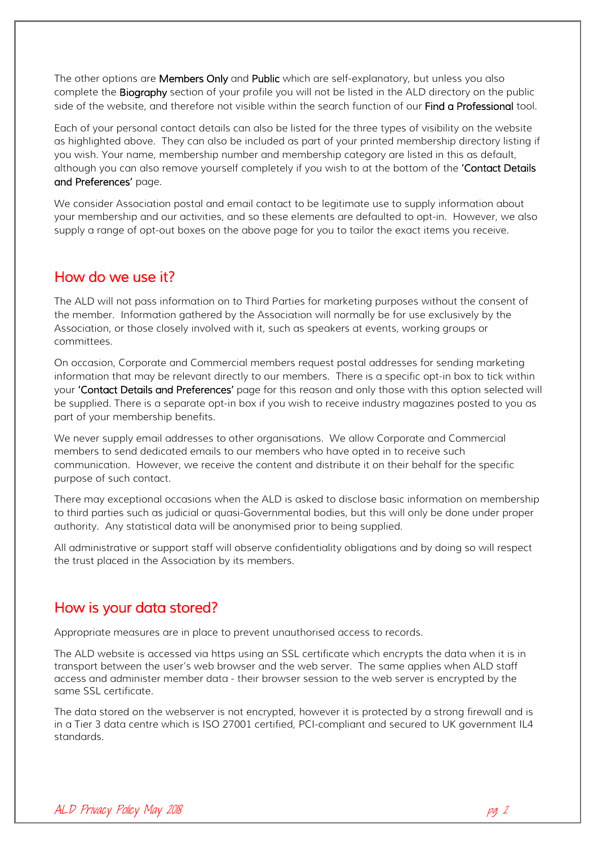The other options are **Members Only** and **Public** which are self-explanatory, but unless you also complete the **Biography** section of your profile you will not be listed in the ALD directory on the public side of the website, and therefore not visible within the search function of our **Find a Professional** tool.

Each of your personal contact details can also be listed for the three types of visibility on the website as highlighted above. They can also be included as part of your printed membership directory listing if you wish. Your name, membership number and membership category are listed in this as default, although you can also remove yourself completely if you wish to at the bottom of the 'Contact Details and Preferences' page.

We consider Association postal and email contact to be legitimate use to supply information about your membership and our activities, and so these elements are defaulted to opt-in. However, we also supply a range of opt-out boxes on the above page for you to tailor the exact items you receive.

### How do we use it?

The ALD will not pass information on to Third Parties for marketing purposes without the consent of the member. Information gathered by the Association will normally be for use exclusively by the Association, or those closely involved with it, such as speakers at events, working groups or committees.

On occasion, Corporate and Commercial members request postal addresses for sending marketing information that may be relevant directly to our members. There is a specific opt-in box to tick within your 'Contact Details and Preferences' page for this reason and only those with this option selected will be supplied. There is a separate opt-in box if you wish to receive industry magazines posted to you as part of your membership benefits.

We never supply email addresses to other organisations. We allow Corporate and Commercial members to send dedicated emails to our members who have opted in to receive such communication. However, we receive the content and distribute it on their behalf for the specific purpose of such contact.

There may exceptional occasions when the ALD is asked to disclose basic information on membership to third parties such as judicial or quasi-Governmental bodies, but this will only be done under proper authority. Any statistical data will be anonymised prior to being supplied.

All administrative or support staff will observe confidentiality obligations and by doing so will respect the trust placed in the Association by its members.

## How is your data stored?

Appropriate measures are in place to prevent unauthorised access to records.

The ALD website is accessed via https using an SSL certificate which encrypts the data when it is in transport between the user's web browser and the web server. The same applies when ALD staff access and administer member data - their browser session to the web server is encrypted by the same SSL certificate.

The data stored on the webserver is not encrypted, however it is protected by a strong firewall and is in a Tier 3 data centre which is ISO 27001 certified, PCI-compliant and secured to UK government IL4 standards.